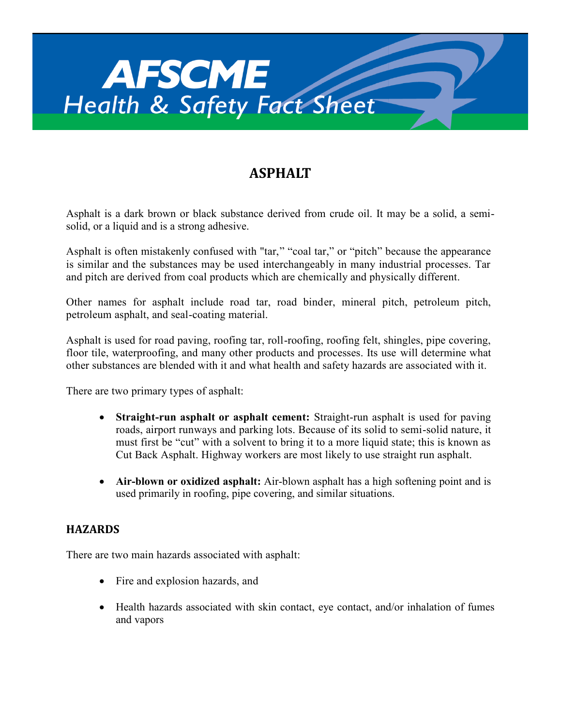

# **ASPHALT**

Asphalt is a dark brown or black substance derived from crude oil. It may be a solid, a semisolid, or a liquid and is a strong adhesive.

Asphalt is often mistakenly confused with "tar," "coal tar," or "pitch" because the appearance is similar and the substances may be used interchangeably in many industrial processes. Tar and pitch are derived from coal products which are chemically and physically different.

Other names for asphalt include road tar, road binder, mineral pitch, petroleum pitch, petroleum asphalt, and seal-coating material.

Asphalt is used for road paving, roofing tar, roll-roofing, roofing felt, shingles, pipe covering, floor tile, waterproofing, and many other products and processes. Its use will determine what other substances are blended with it and what health and safety hazards are associated with it.

There are two primary types of asphalt:

- **Straight-run asphalt or asphalt cement:** Straight-run asphalt is used for paving roads, airport runways and parking lots. Because of its solid to semi-solid nature, it must first be "cut" with a solvent to bring it to a more liquid state; this is known as Cut Back Asphalt. Highway workers are most likely to use straight run asphalt.
- **Air-blown or oxidized asphalt:** Air-blown asphalt has a high softening point and is used primarily in roofing, pipe covering, and similar situations.

# **HAZARDS**

There are two main hazards associated with asphalt:

- Fire and explosion hazards, and
- Health hazards associated with skin contact, eye contact, and/or inhalation of fumes and vapors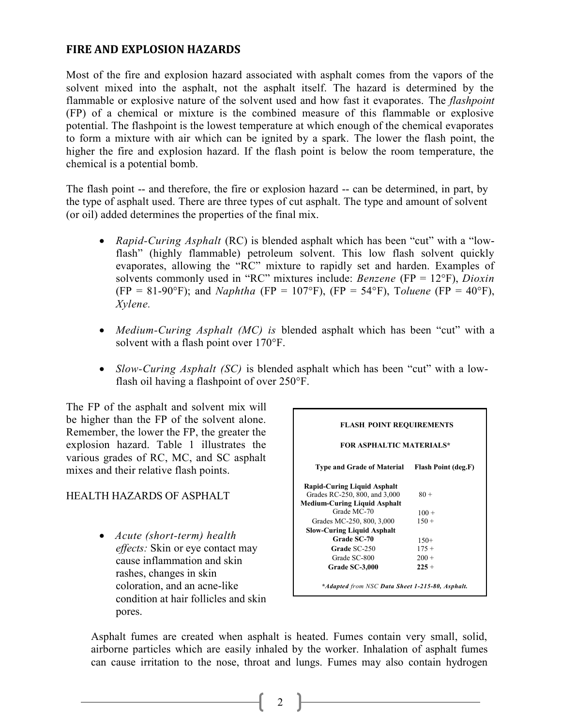### **FIRE AND EXPLOSION HAZARDS**

Most of the fire and explosion hazard associated with asphalt comes from the vapors of the solvent mixed into the asphalt, not the asphalt itself. The hazard is determined by the flammable or explosive nature of the solvent used and how fast it evaporates. The *flashpoint*  (FP) of a chemical or mixture is the combined measure of this flammable or explosive potential. The flashpoint is the lowest temperature at which enough of the chemical evaporates to form a mixture with air which can be ignited by a spark. The lower the flash point, the higher the fire and explosion hazard. If the flash point is below the room temperature, the chemical is a potential bomb.

The flash point -- and therefore, the fire or explosion hazard -- can be determined, in part, by the type of asphalt used. There are three types of cut asphalt. The type and amount of solvent (or oil) added determines the properties of the final mix.

- *Rapid-Curing Asphalt* (RC) is blended asphalt which has been "cut" with a "lowflash" (highly flammable) petroleum solvent. This low flash solvent quickly evaporates, allowing the "RC" mixture to rapidly set and harden. Examples of solvents commonly used in "RC" mixtures include: *Benzene* (FP = 12°F), *Dioxin* (FP = 81-90°F); and *Naphtha* (FP = 107°F), (FP = 54°F), Toluene (FP = 40°F), *Xylene.*
- *Medium-Curing Asphalt (MC) is* blended asphalt which has been "cut" with a solvent with a flash point over 170°F.
- *Slow-Curing Asphalt (SC)* is blended asphalt which has been "cut" with a lowflash oil having a flashpoint of over 250°F.

The FP of the asphalt and solvent mix will be higher than the FP of the solvent alone. Remember, the lower the FP, the greater the explosion hazard. Table 1 illustrates the various grades of RC, MC, and SC asphalt mixes and their relative flash points.

### HEALTH HAZARDS OF ASPHALT

 *Acute (short-term) health effects:* Skin or eye contact may cause inflammation and skin rashes, changes in skin coloration, and an acne-like condition at hair follicles and skin pores.

| <b>FLASH POINT REQUIREMENTS</b>                 |                     |
|-------------------------------------------------|---------------------|
| <b>FOR ASPHALTIC MATERIALS*</b>                 |                     |
| <b>Type and Grade of Material</b>               | Flash Point (deg.F) |
| <b>Rapid-Curing Liquid Asphalt</b>              |                     |
| Grades RC-250, 800, and 3,000                   | $80 +$              |
| <b>Medium-Curing Liquid Asphalt</b>             |                     |
| Grade MC-70                                     | $100 +$             |
| Grades MC-250, 800, 3,000                       | $150 +$             |
| <b>Slow-Curing Liquid Asphalt</b>               |                     |
| <b>Grade SC-70</b>                              | $150+$              |
| Grade SC-250                                    | $175 +$             |
| Grade SC-800                                    | $200 +$             |
| Grade SC-3,000                                  | $225 +$             |
| *Adapted from NSC Data Sheet 1-215-80, Asphalt. |                     |

Asphalt fumes are created when asphalt is heated. Fumes contain very small, solid, airborne particles which are easily inhaled by the worker. Inhalation of asphalt fumes can cause irritation to the nose, throat and lungs. Fumes may also contain hydrogen

2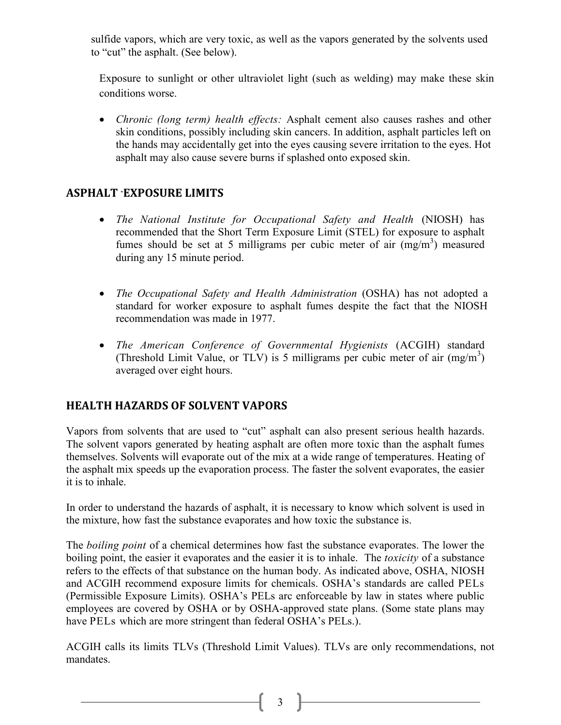sulfide vapors, which are very toxic, as well as the vapors generated by the solvents used to "cut" the asphalt. (See below).

Exposure to sunlight or other ultraviolet light (such as welding) may make these skin conditions worse.

 *Chronic (long term) health effects:* Asphalt cement also causes rashes and other skin conditions, possibly including skin cancers. In addition, asphalt particles left on the hands may accidentally get into the eyes causing severe irritation to the eyes. Hot asphalt may also cause severe burns if splashed onto exposed skin.

# **ASPHALT -EXPOSURE LIMITS**

- *The National Institute for Occupational Safety and Health* (NIOSH) has recommended that the Short Term Exposure Limit (STEL) for exposure to asphalt fumes should be set at 5 milligrams per cubic meter of air  $(mg/m<sup>3</sup>)$  measured during any 15 minute period.
- *The Occupational Safety and Health Administration* (OSHA) has not adopted a standard for worker exposure to asphalt fumes despite the fact that the NIOSH recommendation was made in 1977.
- *The American Conference of Governmental Hygienists* (ACGIH) standard (Threshold Limit Value, or TLV) is 5 milligrams per cubic meter of air  $(mg/m<sup>3</sup>)$ averaged over eight hours.

# **HEALTH HAZARDS OF SOLVENT VAPORS**

Vapors from solvents that are used to "cut" asphalt can also present serious health hazards. The solvent vapors generated by heating asphalt are often more toxic than the asphalt fumes themselves. Solvents will evaporate out of the mix at a wide range of temperatures. Heating of the asphalt mix speeds up the evaporation process. The faster the solvent evaporates, the easier it is to inhale.

In order to understand the hazards of asphalt, it is necessary to know which solvent is used in the mixture, how fast the substance evaporates and how toxic the substance is.

The *boiling point* of a chemical determines how fast the substance evaporates. The lower the boiling point, the easier it evaporates and the easier it is to inhale. The *toxicity* of a substance refers to the effects of that substance on the human body. As indicated above, OSHA, NIOSH and ACGIH recommend exposure limits for chemicals. OSHA's standards are called PELs (Permissible Exposure Limits). OSHA's PELs arc enforceable by law in states where public employees are covered by OSHA or by OSHA-approved state plans. (Some state plans may have PELs which are more stringent than federal OSHA's PELs.).

ACGIH calls its limits TLVs (Threshold Limit Values). TLVs are only recommendations, not mandates.

 $\begin{bmatrix} 3 \end{bmatrix}$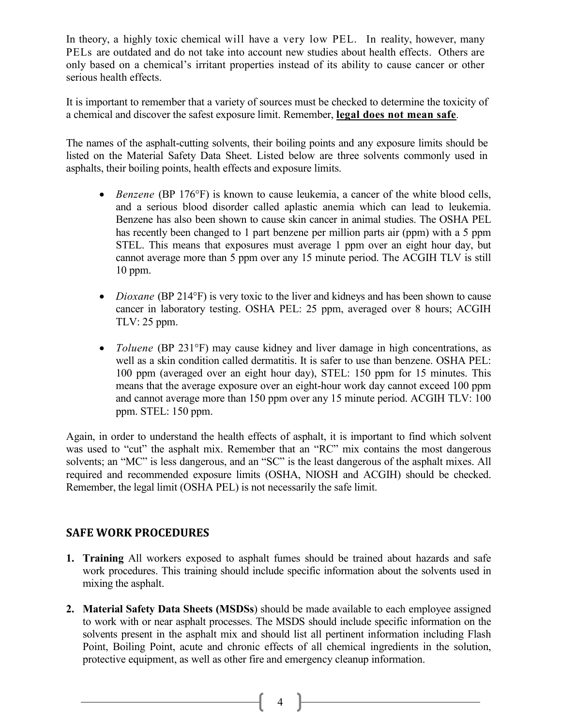In theory, a highly toxic chemical will have a very low PEL. In reality, however, many PELs are outdated and do not take into account new studies about health effects. Others are only based on a chemical's irritant properties instead of its ability to cause cancer or other serious health effects.

It is important to remember that a variety of sources must be checked to determine the toxicity of a chemical and discover the safest exposure limit. Remember, **legal does not mean safe***.*

The names of the asphalt-cutting solvents, their boiling points and any exposure limits should be listed on the Material Safety Data Sheet. Listed below are three solvents commonly used in asphalts, their boiling points, health effects and exposure limits.

- *Benzene* (BP 176°F) is known to cause leukemia, a cancer of the white blood cells, and a serious blood disorder called aplastic anemia which can lead to leukemia. Benzene has also been shown to cause skin cancer in animal studies. The OSHA PEL has recently been changed to 1 part benzene per million parts air (ppm) with a 5 ppm STEL. This means that exposures must average 1 ppm over an eight hour day, but cannot average more than 5 ppm over any 15 minute period. The ACGIH TLV is still 10 ppm.
- *Dioxane* (BP 214°F) is very toxic to the liver and kidneys and has been shown to cause cancer in laboratory testing. OSHA PEL: 25 ppm, averaged over 8 hours; ACGIH TLV: 25 ppm.
- *Toluene* (BP 231°F) may cause kidney and liver damage in high concentrations, as well as a skin condition called dermatitis. It is safer to use than benzene. OSHA PEL: 100 ppm (averaged over an eight hour day), STEL: 150 ppm for 15 minutes. This means that the average exposure over an eight-hour work day cannot exceed 100 ppm and cannot average more than 150 ppm over any 15 minute period. ACGIH TLV: 100 ppm. STEL: 150 ppm.

Again, in order to understand the health effects of asphalt, it is important to find which solvent was used to "cut" the asphalt mix. Remember that an "RC" mix contains the most dangerous solvents; an "MC" is less dangerous, and an "SC" is the least dangerous of the asphalt mixes. All required and recommended exposure limits (OSHA, NIOSH and ACGIH) should be checked. Remember, the legal limit (OSHA PEL) is not necessarily the safe limit.

# **SAFE WORK PROCEDURES**

- **1. Training** All workers exposed to asphalt fumes should be trained about hazards and safe work procedures. This training should include specific information about the solvents used in mixing the asphalt.
- **2. Material Safety Data Sheets (MSDSs**) should be made available to each employee assigned to work with or near asphalt processes. The MSDS should include specific information on the solvents present in the asphalt mix and should list all pertinent information including Flash Point, Boiling Point, acute and chronic effects of all chemical ingredients in the solution, protective equipment, as well as other fire and emergency cleanup information.

 $\begin{bmatrix} 4 \end{bmatrix}$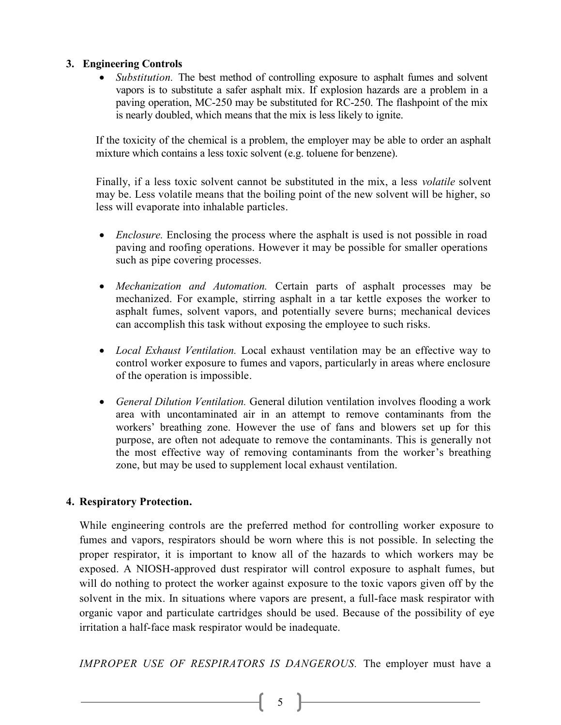### **3. Engineering Controls**

• *Substitution*. The best method of controlling exposure to asphalt fumes and solvent vapors is to substitute a safer asphalt mix. If explosion hazards are a problem in a paving operation, MC-250 may be substituted for RC-250. The flashpoint of the mix is nearly doubled, which means that the mix is less likely to ignite.

If the toxicity of the chemical is a problem, the employer may be able to order an asphalt mixture which contains a less toxic solvent (e.g. toluene for benzene).

Finally, if a less toxic solvent cannot be substituted in the mix, a less *volatile* solvent may be. Less volatile means that the boiling point of the new solvent will be higher, so less will evaporate into inhalable particles.

- *Enclosure.* Enclosing the process where the asphalt is used is not possible in road paving and roofing operations. However it may be possible for smaller operations such as pipe covering processes.
- *Mechanization and Automation.* Certain parts of asphalt processes may be mechanized. For example, stirring asphalt in a tar kettle exposes the worker to asphalt fumes, solvent vapors, and potentially severe burns; mechanical devices can accomplish this task without exposing the employee to such risks.
- *Local Exhaust Ventilation.* Local exhaust ventilation may be an effective way to control worker exposure to fumes and vapors, particularly in areas where enclosure of the operation is impossible.
- *General Dilution Ventilation.* General dilution ventilation involves flooding a work area with uncontaminated air in an attempt to remove contaminants from the workers' breathing zone. However the use of fans and blowers set up for this purpose, are often not adequate to remove the contaminants. This is generally not the most effective way of removing contaminants from the worker's breathing zone, but may be used to supplement local exhaust ventilation.

### **4. Respiratory Protection.**

While engineering controls are the preferred method for controlling worker exposure to fumes and vapors, respirators should be worn where this is not possible. In selecting the proper respirator, it is important to know all of the hazards to which workers may be exposed. A NIOSH-approved dust respirator will control exposure to asphalt fumes, but will do nothing to protect the worker against exposure to the toxic vapors given off by the solvent in the mix. In situations where vapors are present, a full-face mask respirator with organic vapor and particulate cartridges should be used. Because of the possibility of eye irritation a half-face mask respirator would be inadequate.

*IMPROPER USE OF RESPIRATORS IS DANGEROUS.* The employer must have a